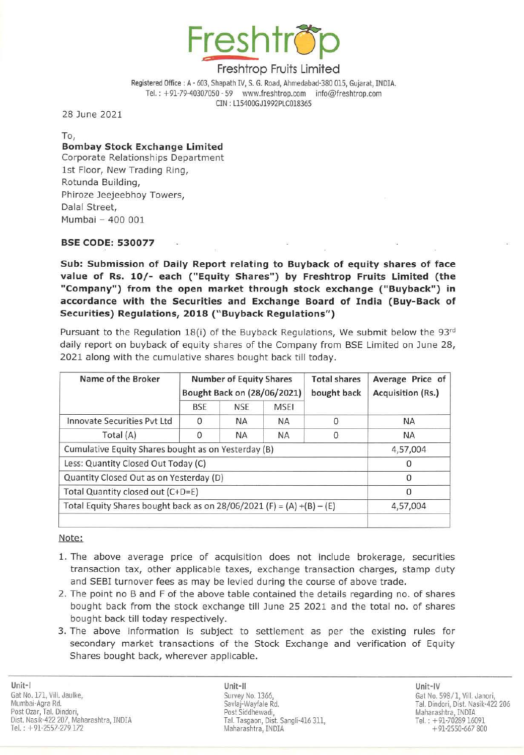

Registered Office: A - 603, Shapath IV, S. G. Road, Ahmedabad-380 OlS, Gujarat, INDIA. Tel.: +91-79-40307050 - 59 www.freshtrop.com info@freshtrop.com CIN : L15400GJ1992PLC018365

28 June 2021

To,

# **Bombay Stock Exchange Limited**

Corporate Relationships Department 1st Floor, New Trading Ring, Rotunda Building, Phiroze Jeejeebhoy Towers, Dalal Street, Mumbai - 400 001

### SSE CODE: 530077

Sub: Submission of Daily Report relating to Buyback of equity shares of face value of Rs. 10/- each ("Equity Shares") by Freshtrop Fruits Limited (the "Company") from the open market through stock exchange ("Buyback") in accordance with the Securities and Exchange Board of India (Buy-Back of Securities) Regulations, 2018 ("Buyback Regulations")

Pursuant to the Regulation 18(i) of the Buyback Regulations, We submit below the 93 $rd$ daily report on buyback of equity shares of the Company from SSE limited on June 28, 2021 along with the cumulative shares bought back till today.

| Name of the Broker                                                      | <b>Number of Equity Shares</b><br>Bought Back on (28/06/2021) |            |             | <b>Total shares</b><br>bought back | Average Price of<br>Acquisition (Rs.) |
|-------------------------------------------------------------------------|---------------------------------------------------------------|------------|-------------|------------------------------------|---------------------------------------|
|                                                                         | <b>BSE</b>                                                    | <b>NSE</b> | <b>MSEI</b> |                                    |                                       |
| Innovate Securities Pyt Ltd                                             | 0                                                             | <b>NA</b>  | <b>NA</b>   | O                                  | <b>NA</b>                             |
| Total (A)                                                               | 0                                                             | <b>NA</b>  | <b>NA</b>   | 0                                  | <b>NA</b>                             |
| Cumulative Equity Shares bought as on Yesterday (B)                     |                                                               |            |             |                                    | 4,57,004                              |
| Less: Quantity Closed Out Today (C)                                     |                                                               |            |             |                                    | $\Omega$                              |
| Quantity Closed Out as on Yesterday (D)                                 |                                                               |            |             |                                    | $\Omega$                              |
| Total Quantity closed out (C+D=E)                                       |                                                               |            |             |                                    | 0                                     |
| Total Equity Shares bought back as on $28/06/2021$ (F) = (A) +(B) – (E) |                                                               |            |             |                                    | 4,57,004                              |
|                                                                         |                                                               |            |             |                                    |                                       |

Note:

- 1. The above average price of acquisition does not include brokerage, securities transaction tax, other applicable taxes, exchange transaction charges, stamp duty and SEBI turnover fees as may be levied during the course of above trade.
- 2. The point no B and F of the above table contained the details regarding no. of shares bought back from the stock exchange till June 25 2021 and the total no. of shares bought back till today respectively.
- 3. The above information is subject to settlement as per the existing rules for secondary market transactions of the Stock Exchange and verification of Equity Shares bought back, wherever applicable.

Unit-II Unit-IV Savlaj-Wayfale Rd. Post Siddhewadi, Tal. Tasgaon, Dist. Sangli-416 311, Maharashtra, INDIA